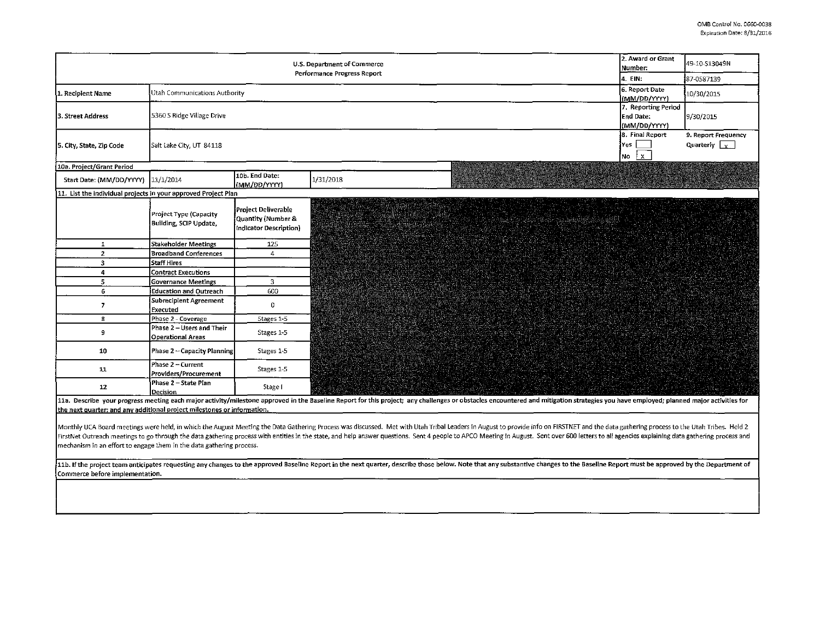| U.S. Department of Commerce<br>Performance Progress Report     |                                                                                             |                                                                     |                                                |                      | 2. Award or Grant<br>Number:                                        | 49-10-\$13049N                                  |
|----------------------------------------------------------------|---------------------------------------------------------------------------------------------|---------------------------------------------------------------------|------------------------------------------------|----------------------|---------------------------------------------------------------------|-------------------------------------------------|
|                                                                |                                                                                             |                                                                     |                                                |                      | 4. EIN:                                                             | 87-0587139                                      |
| Utah Communications Authority<br>1. Recipient Name             |                                                                                             |                                                                     |                                                |                      | 6. Report Date                                                      | 10/30/2015                                      |
|                                                                |                                                                                             |                                                                     |                                                |                      | (MM/DD/YYYY)                                                        |                                                 |
| 3. Street Address                                              | 5360 S Ridge Village Drive                                                                  |                                                                     |                                                |                      | 7. Reporting Period<br>End Date:<br>(MM/DD/YYYY)<br>8. Final Report | 9/30/2015                                       |
| 5. City, State, Zip Code                                       | Yes  <br>Salt Lake City, UT 84118<br>$\overline{\phantom{a}}$ No $\overline{\phantom{a}}$ X |                                                                     |                                                |                      |                                                                     | 9. Report Frequency<br>Quarterly $\boxed{\chi}$ |
| 10a. Project/Grant Period                                      |                                                                                             |                                                                     |                                                |                      |                                                                     |                                                 |
| Start Date: (MM/DD/YYYY) 11/1/2014                             |                                                                                             | 10b. End Date:<br>(MM/DD/YYYY)                                      | 1/31/2018                                      |                      |                                                                     |                                                 |
| 11. List the individual projects in your approved Project Plan |                                                                                             |                                                                     |                                                |                      |                                                                     |                                                 |
|                                                                | Project Type (Capacity<br>Building, SCIP Update,                                            | Project Deliverable<br>Quantity (Number &<br>Indicator Description) | RANDAN MANGARAN DI PARTITI DAN<br>a anns an Lù | <b>TAN ANG SAMUS</b> |                                                                     |                                                 |
| 1                                                              | Stakeholder Meetings                                                                        | 125                                                                 |                                                |                      |                                                                     |                                                 |
| $\mathbf{2}$                                                   | <b>Broadband Conferences</b>                                                                | $\overline{A}$                                                      |                                                |                      |                                                                     |                                                 |
| 3                                                              | Staff Hires                                                                                 |                                                                     |                                                |                      |                                                                     |                                                 |
| 4                                                              | <b>Contract Executions</b>                                                                  |                                                                     |                                                |                      |                                                                     |                                                 |
| 5                                                              | Governance Meetings                                                                         | $\overline{3}$                                                      |                                                |                      |                                                                     |                                                 |
| 6 <sup>1</sup>                                                 | <b>Education and Outreach</b>                                                               | 600                                                                 |                                                |                      |                                                                     |                                                 |
| $\overline{ }$                                                 | Subrecipient Agreement<br>Executed                                                          | 0                                                                   |                                                |                      |                                                                     |                                                 |
| 8                                                              | Phase 2 - Coverage                                                                          | Stages 1-5                                                          |                                                |                      |                                                                     |                                                 |
| 9                                                              | Phase 2 - Users and Their<br>Operational Areas                                              | Stages 1-5                                                          |                                                |                      |                                                                     |                                                 |
| 10                                                             | Phase 2 - Capacity Planning                                                                 | Stages 1-5                                                          |                                                |                      |                                                                     |                                                 |
| 11                                                             | Phase 2 - Current<br>Providers/Procurement                                                  | Stages 1-5                                                          |                                                |                      |                                                                     |                                                 |
| $12 \,$                                                        | Phase 2 - State Plan<br><b>Decision</b>                                                     | Stage I                                                             |                                                |                      |                                                                     |                                                 |

11a. Describe your progress meeting each major activity/milestone approved in the Baseline Report for this project; any challenges or obstacles encountered and mitigation strategies you have employed; planned major activit the next quarter; and any additional project milestones or information.

Monthly UCA Board meetings were held, in which the August Meeting the Data Gathering Process was discussed. Met with Utah Tribal Leaders in August to provide info on FIRSTNET and the data gathering process to the Utah Trib FirstNet Outreach meetings to go through the data gathering process with entities in the state, and help answer questions. Sent 4 people to APCO Meeting in August. Sent over 600 letters to all agencies explaining data gath mechanism in an effort to engage them in the data gathering process.

11b. If the project team anticipates requesting any changes to the approved Baseline Report in the next quarter, describe those below. Note that any substantive changes to the Baseline Report must be approved by the Depart Commerce before implementation.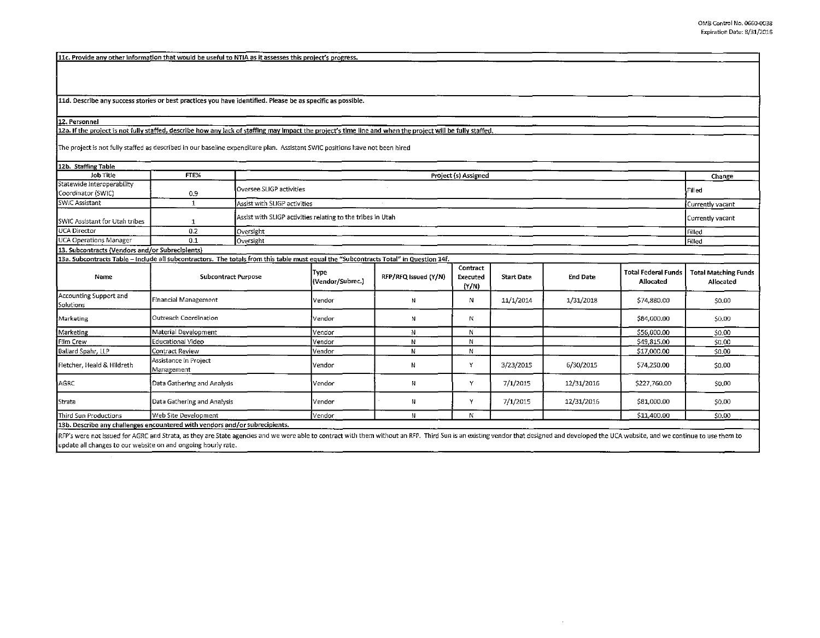11c. Provide any other information that would be userul to NTIA as it assesses this project's progress.

11d. Describe any success stories or best practices you have identified. Please be as specific as possible.

12. Personnel

12a. If the project is not fully staffed, describe how any lack of staffing may impact the project's time line and when the project will be fully staffed.

The project is not fully staffed as described in our baseline expenditure plan. Assistant SWIC positions have not been hired

| 12b. Staffing Table                                                                                                                   |                                     |                                                                                                                     |                              |                      |                               |                   |                                                                                                                                                                                                                                |                                         |                                          |  |
|---------------------------------------------------------------------------------------------------------------------------------------|-------------------------------------|---------------------------------------------------------------------------------------------------------------------|------------------------------|----------------------|-------------------------------|-------------------|--------------------------------------------------------------------------------------------------------------------------------------------------------------------------------------------------------------------------------|-----------------------------------------|------------------------------------------|--|
| Job Title                                                                                                                             | FTE%                                | Project (s) Assigned                                                                                                |                              |                      |                               |                   |                                                                                                                                                                                                                                |                                         | Change                                   |  |
| Statewide Interoperability<br>Coordinator (SWIC)                                                                                      | 0.9                                 | Oversee SLIGP activities                                                                                            |                              |                      |                               |                   |                                                                                                                                                                                                                                |                                         | Filled                                   |  |
| <b>SWIC Assistant</b>                                                                                                                 | 1                                   |                                                                                                                     | Assist with SLIGP activities |                      |                               |                   |                                                                                                                                                                                                                                |                                         |                                          |  |
| SWIC Assistant for Utah tribes                                                                                                        | -1                                  | Assist with SLIGP activities relating to the tribes in Utah                                                         |                              |                      |                               |                   |                                                                                                                                                                                                                                |                                         | Currently vacant                         |  |
| <b>UCA Director</b>                                                                                                                   | 0.2                                 | Oversight                                                                                                           |                              |                      |                               |                   |                                                                                                                                                                                                                                |                                         |                                          |  |
| <b>UCA Operations Manager</b>                                                                                                         | 0.1                                 | Oversight                                                                                                           |                              |                      |                               |                   |                                                                                                                                                                                                                                |                                         | Filled                                   |  |
| 13. Subcontracts (Vendors and/or Subrecipients)                                                                                       |                                     |                                                                                                                     |                              |                      |                               |                   |                                                                                                                                                                                                                                |                                         |                                          |  |
| 13a. Subcontracts Table - Include all subcontractors. The totals from this table must equal the "Subcontracts Total" in Question 14f. |                                     |                                                                                                                     |                              |                      |                               |                   |                                                                                                                                                                                                                                |                                         |                                          |  |
| Name                                                                                                                                  | <b>Subcontract Purpose</b>          |                                                                                                                     | Type<br>(Vendor/Subrec.)     | RFP/RFQ issued (Y/N) | Contract<br>Executed<br>(Y/N) | <b>Start Date</b> | <b>End Date</b>                                                                                                                                                                                                                | <b>Total Federal Funds</b><br>Allocated | <b>Total Matching Funds</b><br>Allocated |  |
| Accounting Support and<br>Solutions                                                                                                   | <b>Financial Management</b>         |                                                                                                                     | Vendor                       | N                    | N.                            | 11/1/2014         | 1/31/2018                                                                                                                                                                                                                      | \$74,880.00                             | \$0.00                                   |  |
| Marketing                                                                                                                             | Outreach Coordination               |                                                                                                                     | Vendor                       | N                    | N                             |                   |                                                                                                                                                                                                                                | \$84,000.00                             | 50.00                                    |  |
| Marketing                                                                                                                             | Material Development                |                                                                                                                     | Vendor                       | N                    | $\mathsf{N}$                  |                   |                                                                                                                                                                                                                                | \$56,000.00                             | 50.00                                    |  |
| Film Crew                                                                                                                             | Educational Video                   |                                                                                                                     | Vendor                       | Ν                    | N                             |                   |                                                                                                                                                                                                                                | \$49,815.00                             | \$0.00                                   |  |
| Ballard Spahr, LLP                                                                                                                    | Contract Review                     |                                                                                                                     | Vendor                       | N                    | N                             |                   |                                                                                                                                                                                                                                | \$17,000.00                             | \$0.00                                   |  |
| Fletcher, Heald & Hildreth                                                                                                            | Assistance in Project<br>Management |                                                                                                                     | Vendor                       | Ν                    | Y                             | 3/23/2015         | 6/30/2015                                                                                                                                                                                                                      | \$74,250.00                             | \$0.00                                   |  |
| <b>ACRC</b>                                                                                                                           | Data Gathering and Analysis         |                                                                                                                     | Vendor                       | Ν                    | Y                             | 7/1/2015          | 12/31/2016                                                                                                                                                                                                                     | \$227,760.00                            | 50.00                                    |  |
| Strata                                                                                                                                | Data Gathering and Analysis         |                                                                                                                     | Vendor                       | N                    | Y                             | 7/1/2015          | 12/31/2016                                                                                                                                                                                                                     | \$81,000.00                             | S0.00                                    |  |
| Third Sun Productions                                                                                                                 | Web Site Development                |                                                                                                                     | Vendor                       | N                    | N                             |                   |                                                                                                                                                                                                                                | \$11,400.00                             | \$0.00                                   |  |
| 13b. Describe any challenges encountered with vendors and/or subrecipients.                                                           |                                     |                                                                                                                     |                              |                      |                               |                   |                                                                                                                                                                                                                                |                                         |                                          |  |
|                                                                                                                                       |                                     | المعتقل والأراد والمركوب والمتلوث والمتحال والمتحدث والمتحدث والمتحدث والمستحدث والمتحدث والمتحدث والمتحدث والمتحدث |                              |                      |                               |                   | the contract of the contract of the contract of the contract of the contract of the contract of the contract of the contract of the contract of the contract of the contract of the contract of the contract of the contract o |                                         |                                          |  |

RFP's were not issued for AGRC and Strata, as they are State agencies and we were able to contract with them without an RFP. Third Sun is an existing vendor that designed and developed the UCA website, and we continue to u update all changes to our website on and ongoing hourly rate.